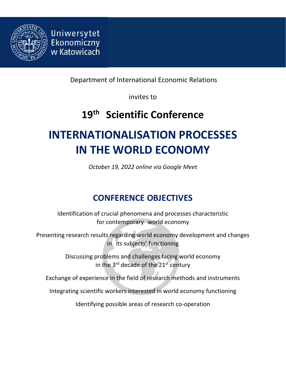

Uniwersytet Ekonomiczny w Katowicach

Department of International Economic Relations

invites to

## **19 th Scientific Conference**

# **INTERNATIONALISATION PROCESSES IN THE WORLD ECONOMY**

*October 19, 2022 online via Google Meet*

### **CONFERENCE OBJECTIVES**

Identification of crucial phenomena and processes characteristic for contemporary world economy

Presenting research results regarding world economy development and changes in its subjects' functioning

> Discussing problems and challenges facing world economy in the 3<sup>rd</sup> decade of the 21st century

Exchange of experience in the field of research methods and instruments

Integrating scientific workers interested in world economy functioning

Identifying possible areas of research co-operation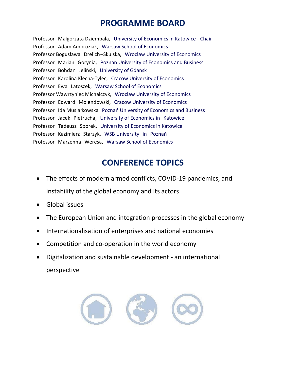#### **PROGRAMME BOARD**

Professor Malgorzata Dziembała, University of Economics in Katowice - Chair Professor Adam Ambroziak, Warsaw School of Economics Professor Bogusława Drelich-Skulska, Wroclaw University of Economics Professor Marian Gorynia, Poznań University of Economics and Business Professor Bohdan Jeliński, University of Gdańsk Professor Karolina Klecha-Tylec, Cracow University of Economics Professor Ewa Latoszek, Warsaw School of Economics Professor Wawrzyniec Michalczyk, Wroclaw University of Economics Professor Edward Molendowski, Cracow University of Economics Professor Ida Musiałkowska Poznań University of Economics and Business Professor Jacek Pietrucha, University of Economics in Katowice Professor Tadeusz Sporek, University of Economics in Katowice Professor Kazimierz Starzyk, WSB University in Poznań Professor Marzenna Weresa, Warsaw School of Economics

#### **CONFERENCE TOPICS**

- The effects of modern armed conflicts, COVID-19 pandemics, and instability of the global economy and its actors
- Global issues
- The European Union and integration processes in the global economy
- Internationalisation of enterprises and national economies
- Competition and co-operation in the world economy
- Digitalization and sustainable development an international perspective

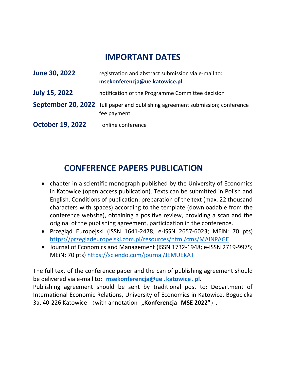#### **IMPORTANT DATES**

| June 30, 2022           | registration and abstract submission via e-mail to:<br>msekonferencja@ue.katowice.pl         |
|-------------------------|----------------------------------------------------------------------------------------------|
| <b>July 15, 2022</b>    | notification of the Programme Committee decision                                             |
|                         | September 20, 2022 full paper and publishing agreement submission; conference<br>fee payment |
| <b>October 19, 2022</b> | online conference                                                                            |

### **CONFERENCE PAPERS PUBLICATION**

- chapter in a scientific monograph published by the University of Economics in Katowice (open access publication). Texts can be submitted in Polish and English. Conditions of publication: preparation of the text (max. 22 thousand characters with spaces) according to the template (downloadable from the conference website), obtaining a positive review, providing a scan and the original of the publishing agreement, participation in the conference.
- Przegląd Europejski (ISSN 1641-2478; e-ISSN 2657-6023; MEiN: 70 pts) <https://przegladeuropejski.com.pl/resources/html/cms/MAINPAGE>
- Journal of Economics and Management (ISSN 1732-1948; e-ISSN 2719-9975; MEiN: 70 pts)<https://sciendo.com/journal/JEMUEKAT>

The full text of the conference paper and the can of publishing agreement should be delivered via e-mail to: **[msekonferencja@ue](mailto:msekonferencja@ue.katowice.pl).katowice.pl**. Publishing agreement should be sent by traditional post to: Department of International Economic Relations, University of Economics in Katowice, Bogucicka

3a, 40-226 Katowice (with annotation **"Konferencja MSE 2022"**).